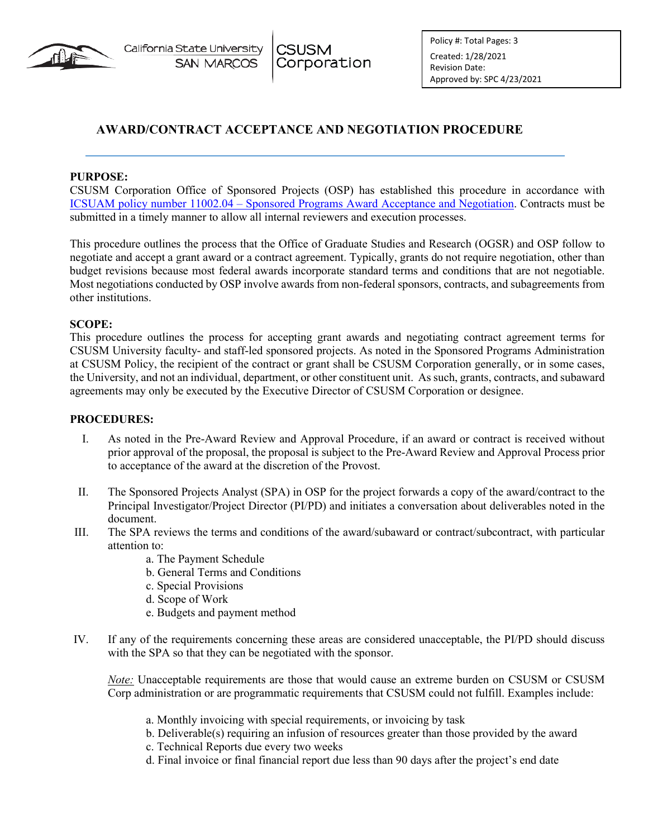California State University **SAN MARCOS** 

**CSUSM** Corporation

# **AWARD/CONTRACT ACCEPTANCE AND NEGOTIATION PROCEDURE**

# **PURPOSE:**

CSUSM Corporation Office of Sponsored Projects (OSP) has established this procedure in accordance with ICSUAM policy number 11002.04 – [Sponsored Programs Award Acceptance and Negotiation.](https://calstate.policystat.com/policy/8543224/latest/) Contracts must be submitted in a timely manner to allow all internal reviewers and execution processes.

This procedure outlines the process that the Office of Graduate Studies and Research (OGSR) and OSP follow to negotiate and accept a grant award or a contract agreement. Typically, grants do not require negotiation, other than budget revisions because most federal awards incorporate standard terms and conditions that are not negotiable. Most negotiations conducted by OSP involve awards from non-federal sponsors, contracts, and subagreements from other institutions.

#### **SCOPE:**

This procedure outlines the process for accepting grant awards and negotiating contract agreement terms for CSUSM University faculty- and staff-led sponsored projects. As noted in the Sponsored Programs Administration at CSUSM Policy, the recipient of the contract or grant shall be CSUSM Corporation generally, or in some cases, the University, and not an individual, department, or other constituent unit. As such, grants, contracts, and subaward agreements may only be executed by the Executive Director of CSUSM Corporation or designee.

### **PROCEDURES:**

- I. As noted in the Pre-Award Review and Approval Procedure, if an award or contract is received without prior approval of the proposal, the proposal is subject to the Pre-Award Review and Approval Process prior to acceptance of the award at the discretion of the Provost.
- II. The Sponsored Projects Analyst (SPA) in OSP for the project forwards a copy of the award/contract to the Principal Investigator/Project Director (PI/PD) and initiates a conversation about deliverables noted in the document.
- III. The SPA reviews the terms and conditions of the award/subaward or contract/subcontract, with particular attention to:
	- a. The Payment Schedule
	- b. General Terms and Conditions
	- c. Special Provisions
	- d. Scope of Work
	- e. Budgets and payment method
- IV. If any of the requirements concerning these areas are considered unacceptable, the PI/PD should discuss with the SPA so that they can be negotiated with the sponsor.

*Note:* Unacceptable requirements are those that would cause an extreme burden on CSUSM or CSUSM Corp administration or are programmatic requirements that CSUSM could not fulfill. Examples include:

- a. Monthly invoicing with special requirements, or invoicing by task
- b. Deliverable(s) requiring an infusion of resources greater than those provided by the award
- c. Technical Reports due every two weeks
- d. Final invoice or final financial report due less than 90 days after the project's end date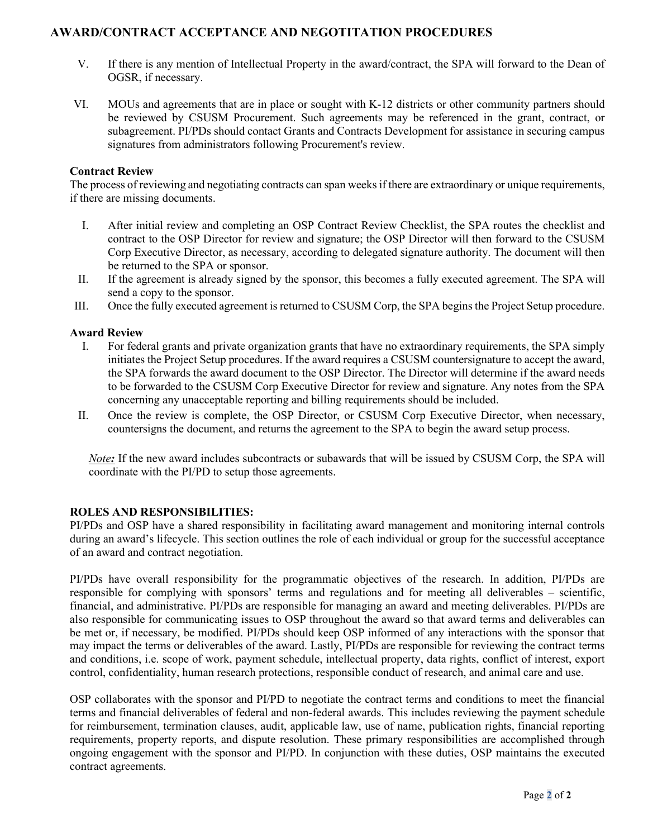# **AWARD/CONTRACT ACCEPTANCE AND NEGOTITATION PROCEDURES**

- V. If there is any mention of Intellectual Property in the award/contract, the SPA will forward to the Dean of OGSR, if necessary.
- VI. MOUs and agreements that are in place or sought with K-12 districts or other community partners should be reviewed by CSUSM Procurement. Such agreements may be referenced in the grant, contract, or subagreement. PI/PDs should contact Grants and Contracts Development for assistance in securing campus signatures from administrators following Procurement's review.

### **Contract Review**

The process of reviewing and negotiating contracts can span weeks if there are extraordinary or unique requirements, if there are missing documents.

- I. After initial review and completing an OSP Contract Review Checklist, the SPA routes the checklist and contract to the OSP Director for review and signature; the OSP Director will then forward to the CSUSM Corp Executive Director, as necessary, according to delegated signature authority. The document will then be returned to the SPA or sponsor.
- II. If the agreement is already signed by the sponsor, this becomes a fully executed agreement. The SPA will send a copy to the sponsor.
- III. Once the fully executed agreement is returned to CSUSM Corp, the SPA begins the Project Setup procedure.

# **Award Review**

- I. For federal grants and private organization grants that have no extraordinary requirements, the SPA simply initiates the Project Setup procedures. If the award requires a CSUSM countersignature to accept the award, the SPA forwards the award document to the OSP Director. The Director will determine if the award needs to be forwarded to the CSUSM Corp Executive Director for review and signature. Any notes from the SPA concerning any unacceptable reporting and billing requirements should be included.
- II. Once the review is complete, the OSP Director, or CSUSM Corp Executive Director, when necessary, countersigns the document, and returns the agreement to the SPA to begin the award setup process.

*Note:* If the new award includes subcontracts or subawards that will be issued by CSUSM Corp, the SPA will coordinate with the PI/PD to setup those agreements.

#### **ROLES AND RESPONSIBILITIES:**

PI/PDs and OSP have a shared responsibility in facilitating award management and monitoring internal controls during an award's lifecycle. This section outlines the role of each individual or group for the successful acceptance of an award and contract negotiation.

PI/PDs have overall responsibility for the programmatic objectives of the research. In addition, PI/PDs are responsible for complying with sponsors' terms and regulations and for meeting all deliverables – scientific, financial, and administrative. PI/PDs are responsible for managing an award and meeting deliverables. PI/PDs are also responsible for communicating issues to OSP throughout the award so that award terms and deliverables can be met or, if necessary, be modified. PI/PDs should keep OSP informed of any interactions with the sponsor that may impact the terms or deliverables of the award. Lastly, PI/PDs are responsible for reviewing the contract terms and conditions, i.e. scope of work, payment schedule, intellectual property, data rights, conflict of interest, export control, confidentiality, human research protections, responsible conduct of research, and animal care and use.

OSP collaborates with the sponsor and PI/PD to negotiate the contract terms and conditions to meet the financial terms and financial deliverables of federal and non-federal awards. This includes reviewing the payment schedule for reimbursement, termination clauses, audit, applicable law, use of name, publication rights, financial reporting requirements, property reports, and dispute resolution. These primary responsibilities are accomplished through ongoing engagement with the sponsor and PI/PD. In conjunction with these duties, OSP maintains the executed contract agreements.